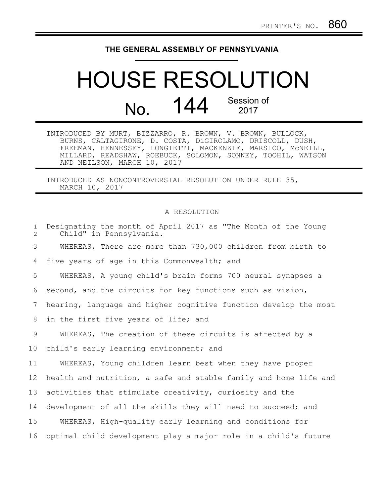## **THE GENERAL ASSEMBLY OF PENNSYLVANIA**

## HOUSE RESOLUTION No. 144 Session of 2017

INTRODUCED BY MURT, BIZZARRO, R. BROWN, V. BROWN, BULLOCK, BURNS, CALTAGIRONE, D. COSTA, DiGIROLAMO, DRISCOLL, DUSH, FREEMAN, HENNESSEY, LONGIETTI, MACKENZIE, MARSICO, McNEILL, MILLARD, READSHAW, ROEBUCK, SOLOMON, SONNEY, TOOHIL, WATSON AND NEILSON, MARCH 10, 2017

INTRODUCED AS NONCONTROVERSIAL RESOLUTION UNDER RULE 35, MARCH 10, 2017

## A RESOLUTION

| $\mathbf{1}$<br>$\overline{2}$ | Designating the month of April 2017 as "The Month of the Young<br>Child" in Pennsylvania. |
|--------------------------------|-------------------------------------------------------------------------------------------|
| 3                              | WHEREAS, There are more than 730,000 children from birth to                               |
| 4                              | five years of age in this Commonwealth; and                                               |
| 5                              | WHEREAS, A young child's brain forms 700 neural synapses a                                |
| 6                              | second, and the circuits for key functions such as vision,                                |
| 7                              | hearing, language and higher cognitive function develop the most                          |
| 8                              | in the first five years of life; and                                                      |
| 9                              | WHEREAS, The creation of these circuits is affected by a                                  |
| 10                             | child's early learning environment; and                                                   |
| 11                             | WHEREAS, Young children learn best when they have proper                                  |
| 12                             | health and nutrition, a safe and stable family and home life and                          |
| 13                             | activities that stimulate creativity, curiosity and the                                   |
| 14                             | development of all the skills they will need to succeed; and                              |
| 15                             | WHEREAS, High-quality early learning and conditions for                                   |
| 16                             | optimal child development play a major role in a child's future                           |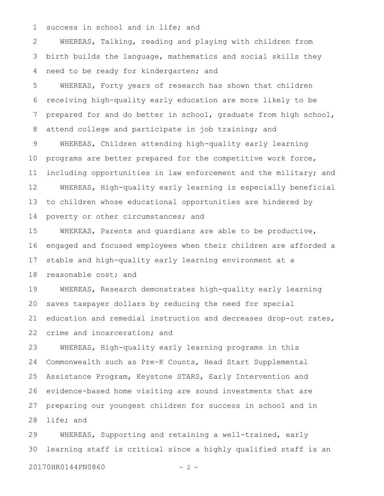success in school and in life; and 1

WHEREAS, Talking, reading and playing with children from birth builds the language, mathematics and social skills they need to be ready for kindergarten; and 2 3 4

WHEREAS, Forty years of research has shown that children receiving high-quality early education are more likely to be prepared for and do better in school, graduate from high school, attend college and participate in job training; and 5 6 7 8

WHEREAS, Children attending high-quality early learning programs are better prepared for the competitive work force, including opportunities in law enforcement and the military; and WHEREAS, High-quality early learning is especially beneficial to children whose educational opportunities are hindered by poverty or other circumstances; and 9 10 11 12 13 14

WHEREAS, Parents and guardians are able to be productive, engaged and focused employees when their children are afforded a stable and high-quality early learning environment at a reasonable cost; and 15 16 17 18

WHEREAS, Research demonstrates high-quality early learning saves taxpayer dollars by reducing the need for special education and remedial instruction and decreases drop-out rates, crime and incarceration; and 19 20 21 22

WHEREAS, High-quality early learning programs in this Commonwealth such as Pre-K Counts, Head Start Supplemental Assistance Program, Keystone STARS, Early Intervention and evidence-based home visiting are sound investments that are preparing our youngest children for success in school and in life; and 23 24 25 26 27 28

WHEREAS, Supporting and retaining a well-trained, early learning staff is critical since a highly qualified staff is an 29 30

20170HR0144PN0860 - 2 -